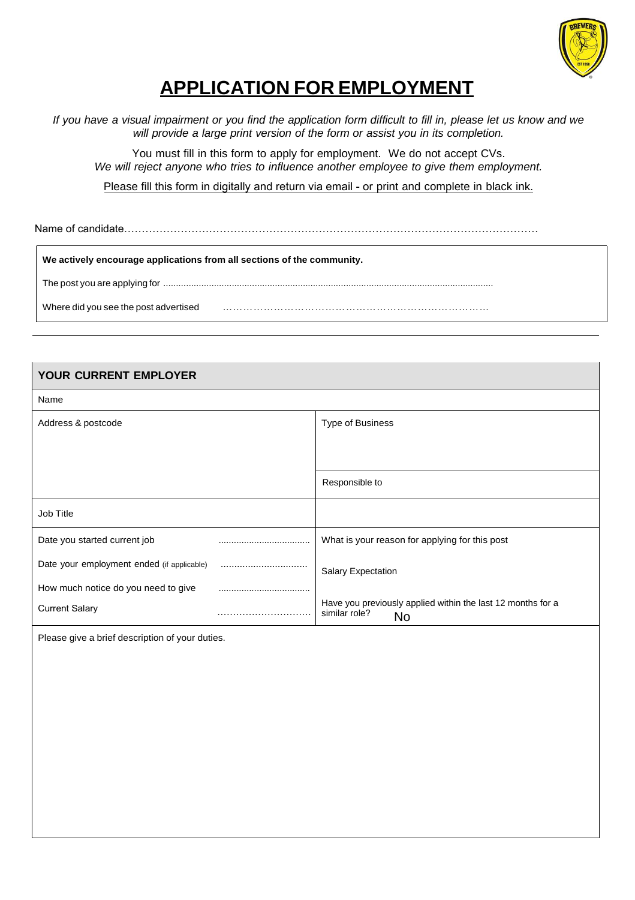

# **APPLICATION FOR EMPLOYMENT**

*If you have a visual impairment or you find the application form difficult to fill in, please let us know and we will provide a large print version of the form or assist you in its completion.*

You must fill in this form to apply for employment. We do not accept CVs. *We will reject anyone who tries to influence another employee to give them employment.*

Please fill this form in digitally and return via email - or print and complete in black ink.

Name of candidate……………………

**We actively encourage applications from all sections of the community.**

The post you are applying for ..................................................................................................................................

Where did you see the post advertised ……………………………………………………………………

| <b>YOUR CURRENT EMPLOYER</b>               |                                                                                    |
|--------------------------------------------|------------------------------------------------------------------------------------|
| Name                                       |                                                                                    |
| Address & postcode                         | Type of Business                                                                   |
|                                            |                                                                                    |
|                                            |                                                                                    |
|                                            | Responsible to                                                                     |
| Job Title                                  |                                                                                    |
| Date you started current job               | <br>What is your reason for applying for this post                                 |
| Date your employment ended (if applicable) | <br><b>Salary Expectation</b>                                                      |
| How much notice do you need to give        |                                                                                    |
| <b>Current Salary</b>                      | Have you previously applied within the last 12 months for a<br>similar role?<br>No |

Please give a brief description of your duties.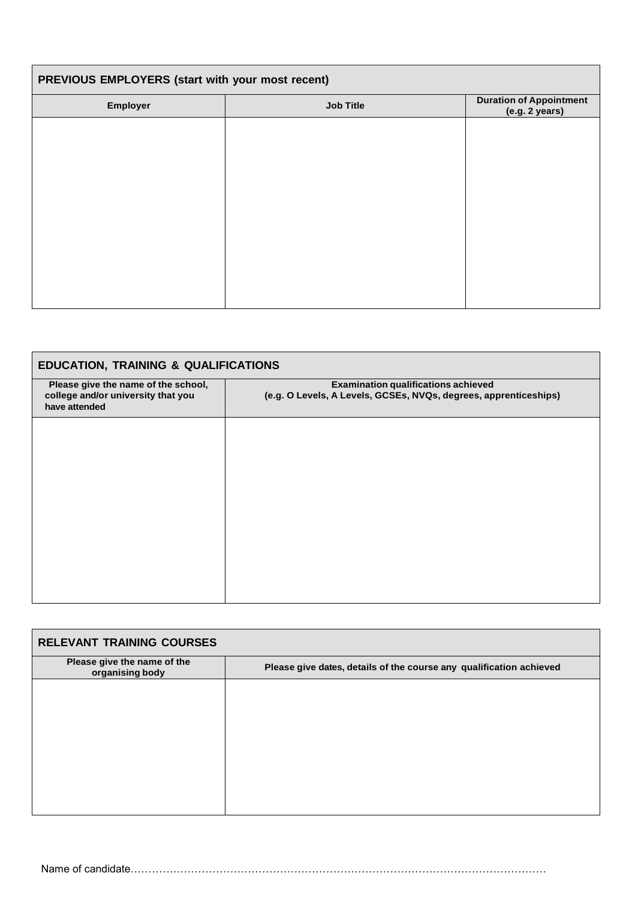| PREVIOUS EMPLOYERS (start with your most recent) |                  |                                                  |
|--------------------------------------------------|------------------|--------------------------------------------------|
| Employer                                         | <b>Job Title</b> | <b>Duration of Appointment</b><br>(e.g. 2 years) |
|                                                  |                  |                                                  |
|                                                  |                  |                                                  |
|                                                  |                  |                                                  |
|                                                  |                  |                                                  |
|                                                  |                  |                                                  |
|                                                  |                  |                                                  |
|                                                  |                  |                                                  |
|                                                  |                  |                                                  |

| <b>EDUCATION, TRAINING &amp; QUALIFICATIONS</b>                                            |                                                                                                                |  |
|--------------------------------------------------------------------------------------------|----------------------------------------------------------------------------------------------------------------|--|
| Please give the name of the school,<br>college and/or university that you<br>have attended | <b>Examination qualifications achieved</b><br>(e.g. O Levels, A Levels, GCSEs, NVQs, degrees, apprenticeships) |  |
|                                                                                            |                                                                                                                |  |
|                                                                                            |                                                                                                                |  |
|                                                                                            |                                                                                                                |  |
|                                                                                            |                                                                                                                |  |
|                                                                                            |                                                                                                                |  |

| <b>RELEVANT TRAINING COURSES</b>               |                                                                     |
|------------------------------------------------|---------------------------------------------------------------------|
| Please give the name of the<br>organising body | Please give dates, details of the course any qualification achieved |
|                                                |                                                                     |
|                                                |                                                                     |
|                                                |                                                                     |
|                                                |                                                                     |
|                                                |                                                                     |
|                                                |                                                                     |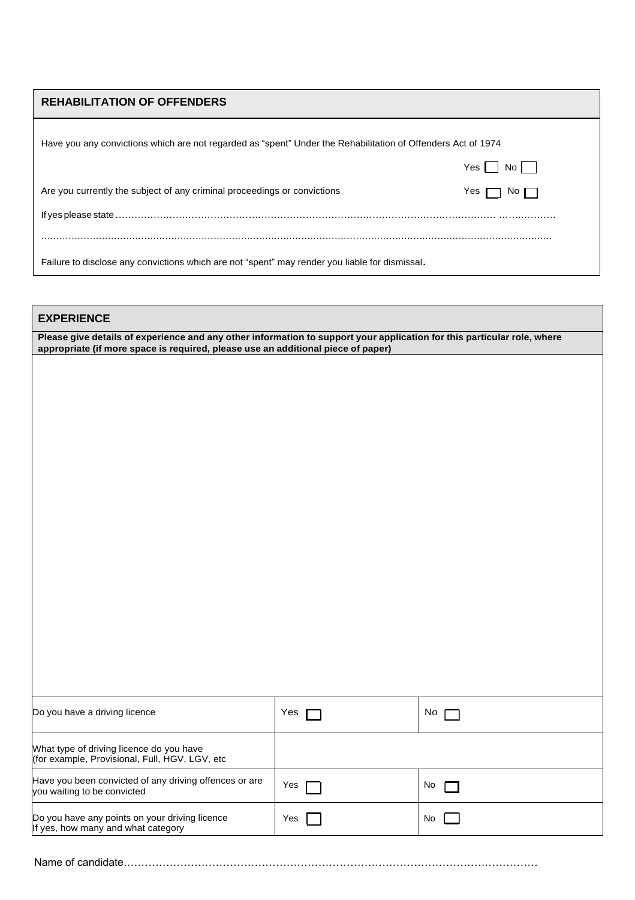## **REHABILITATION OF OFFENDERS**

| Have you any convictions which are not regarded as "spent" Under the Rehabilitation of Offenders Act of 1974 |                     |  |
|--------------------------------------------------------------------------------------------------------------|---------------------|--|
|                                                                                                              | Yes I I No I I      |  |
| Are you currently the subject of any criminal proceedings or convictions                                     | Yes $\Box$<br>NO II |  |
|                                                                                                              |                     |  |
|                                                                                                              |                     |  |
| Failure to disclose any convictions which are not "spent" may render you liable for dismissal.               |                     |  |

#### **EXPERIENCE**

Please give details of experience and any other information to support your application for this particular role, where **appropriate (if more space is required, please use an additional piece of paper)**

| Do you have a driving licence                                                              | Yes | No. |
|--------------------------------------------------------------------------------------------|-----|-----|
| What type of driving licence do you have<br>(for example, Provisional, Full, HGV, LGV, etc |     |     |
| Have you been convicted of any driving offences or are<br>you waiting to be convicted      | Yes | No. |
| Do you have any points on your driving licence<br>If yes, how many and what category       | Yes | No. |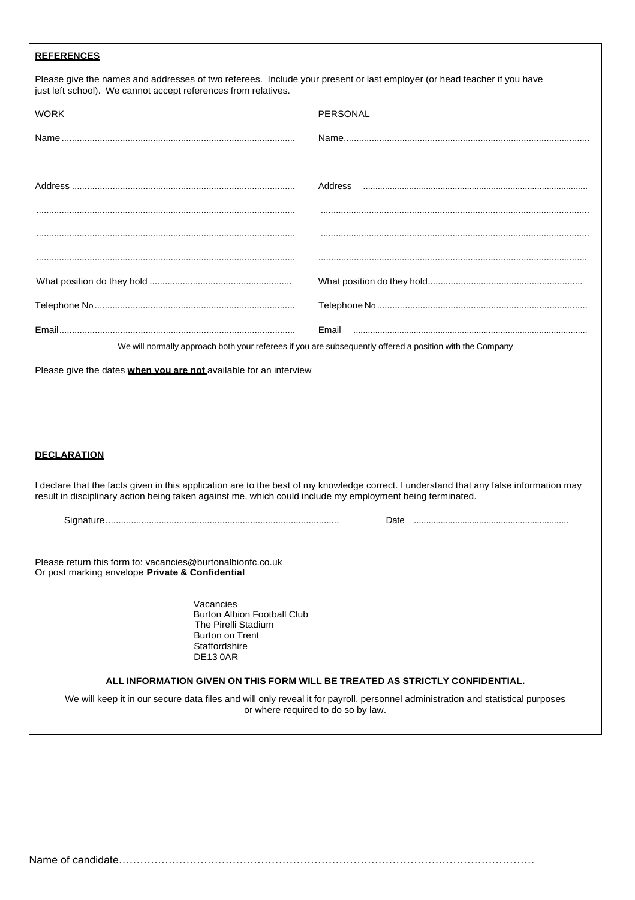| <b>REFERENCES</b>                                                                                                                                                                                                                                    |                                                                                                          |  |  |
|------------------------------------------------------------------------------------------------------------------------------------------------------------------------------------------------------------------------------------------------------|----------------------------------------------------------------------------------------------------------|--|--|
| Please give the names and addresses of two referees. Include your present or last employer (or head teacher if you have<br>just left school). We cannot accept references from relatives.                                                            |                                                                                                          |  |  |
| <b>WORK</b>                                                                                                                                                                                                                                          | <b>PERSONAL</b>                                                                                          |  |  |
|                                                                                                                                                                                                                                                      |                                                                                                          |  |  |
|                                                                                                                                                                                                                                                      |                                                                                                          |  |  |
|                                                                                                                                                                                                                                                      |                                                                                                          |  |  |
|                                                                                                                                                                                                                                                      |                                                                                                          |  |  |
|                                                                                                                                                                                                                                                      |                                                                                                          |  |  |
|                                                                                                                                                                                                                                                      | We will normally approach both your referees if you are subsequently offered a position with the Company |  |  |
| Please give the dates when vou are not available for an interview                                                                                                                                                                                    |                                                                                                          |  |  |
| <b>DECLARATION</b>                                                                                                                                                                                                                                   |                                                                                                          |  |  |
| I declare that the facts given in this application are to the best of my knowledge correct. I understand that any false information may<br>result in disciplinary action being taken against me, which could include my employment being terminated. |                                                                                                          |  |  |
|                                                                                                                                                                                                                                                      |                                                                                                          |  |  |
| Please return this form to: vacancies@burtonalbionfc.co.uk<br>Or post marking envelope Private & Confidential                                                                                                                                        |                                                                                                          |  |  |
| Vacancies<br><b>Burton Albion Football Club</b><br>The Pirelli Stadium<br><b>Burton on Trent</b><br>Staffordshire<br><b>DE130AR</b>                                                                                                                  |                                                                                                          |  |  |
| ALL INFORMATION GIVEN ON THIS FORM WILL BE TREATED AS STRICTLY CONFIDENTIAL.                                                                                                                                                                         |                                                                                                          |  |  |
| We will keep it in our secure data files and will only reveal it for payroll, personnel administration and statistical purposes<br>or where required to do so by law.                                                                                |                                                                                                          |  |  |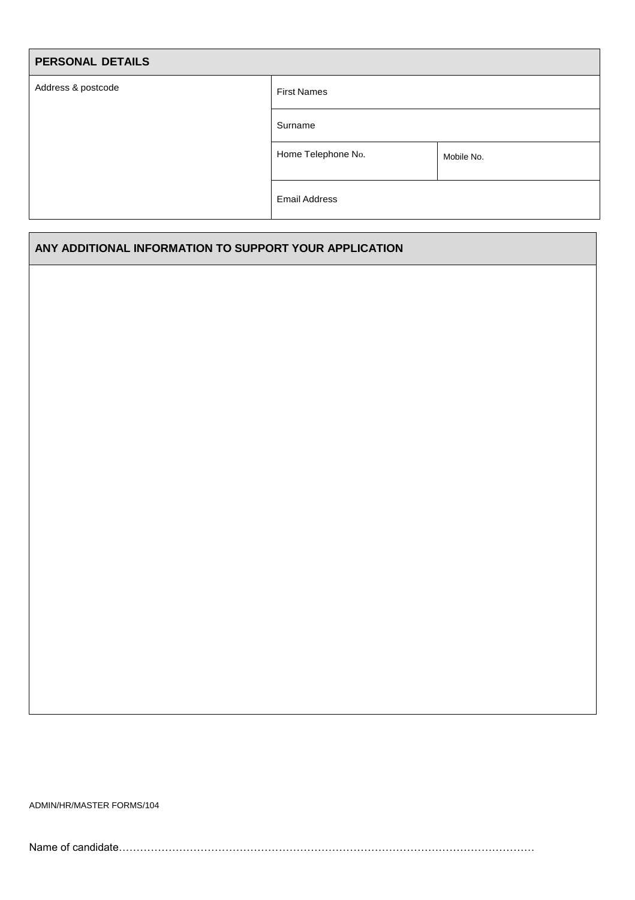| <b>PERSONAL DETAILS</b> |                      |            |
|-------------------------|----------------------|------------|
| Address & postcode      | <b>First Names</b>   |            |
|                         | Surname              |            |
|                         | Home Telephone No.   | Mobile No. |
|                         | <b>Email Address</b> |            |

### **ANY ADDITIONAL INFORMATION TO SUPPORT YOUR APPLICATION**

ADMIN/HR/MASTER FORMS/104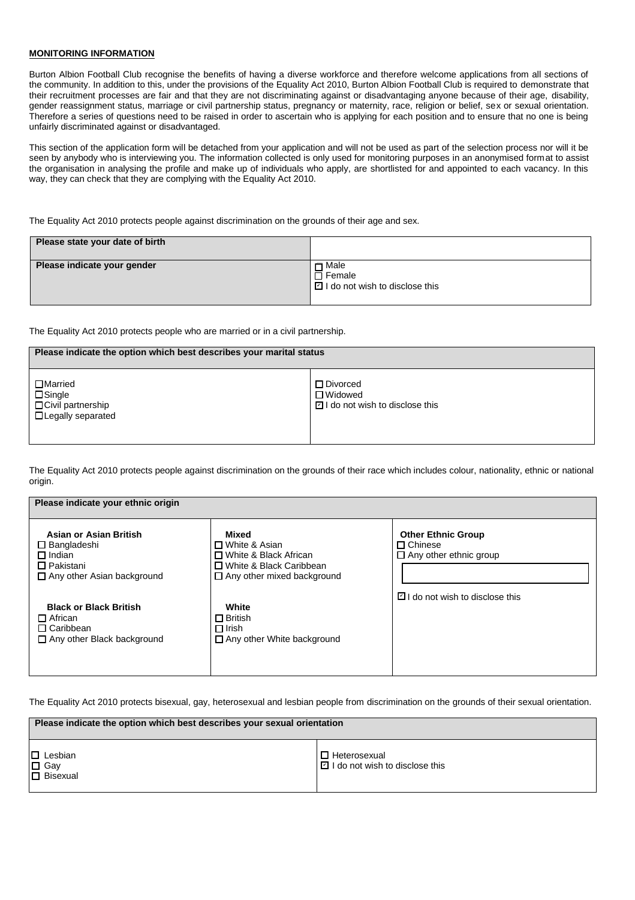#### **MONITORING INFORMATION**

Burton Albion Football Club recognise the benefits of having a diverse workforce and therefore welcome applications from all sections of the community. In addition to this, under the provisions of the Equality Act 2010, Burton Albion Football Club is required to demonstrate that their recruitment processes are fair and that they are not discriminating against or disadvantaging anyone because of their age, disability, gender reassignment status, marriage or civil partnership status, pregnancy or maternity, race, religion or belief, sex or sexual orientation. Therefore a series of questions need to be raised in order to ascertain who is applying for each position and to ensure that no one is being unfairly discriminated against or disadvantaged.

This section of the application form will be detached from your application and will not be used as part of the selection process nor will it be seen by anybody who is interviewing you. The information collected is only used for monitoring purposes in an anonymised format to assist the organisation in analysing the profile and make up of individuals who apply, are shortlisted for and appointed to each vacancy. In this way, they can check that they are complying with the Equality Act 2010.

The Equality Act 2010 protects people against discrimination on the grounds of their age and sex.

| Please state your date of birth |                                                                            |
|---------------------------------|----------------------------------------------------------------------------|
| Please indicate your gender     | <b>□</b> Male<br>$\square$ Female<br>$\Box$ I do not wish to disclose this |

The Equality Act 2010 protects people who are married or in a civil partnership.

#### **Please indicate the option which best describes your marital status**

| □Married<br>$\square$ Single<br>□ Civil partnership<br>□ Legally separated | $\square$ Divorced<br>$\square$ Widowed<br>$\Box$ I do not wish to disclose this |
|----------------------------------------------------------------------------|----------------------------------------------------------------------------------|

The Equality Act 2010 protects people against discrimination on the grounds of their race which includes colour, nationality, ethnic or national origin.

| Please indicate your ethnic origin                                                                                     |                                                                                                                            |                                                                              |  |
|------------------------------------------------------------------------------------------------------------------------|----------------------------------------------------------------------------------------------------------------------------|------------------------------------------------------------------------------|--|
| Asian or Asian British<br>$\Box$ Bangladeshi<br>$\Box$ Indian<br>$\Box$ Pakistani<br>$\Box$ Any other Asian background | Mixed<br>$\Box$ White & Asian<br>□ White & Black African<br>□ White & Black Caribbean<br>$\Box$ Any other mixed background | <b>Other Ethnic Group</b><br>$\Box$ Chinese<br>$\Box$ Any other ethnic group |  |
| <b>Black or Black British</b><br>$\Box$ African<br>$\Box$ Caribbean<br>$\Box$ Any other Black background               | White<br>$\Box$ British<br>$\Box$ Irish<br>□ Any other White background                                                    | $\boxdot$ I do not wish to disclose this                                     |  |

The Equality Act 2010 protects bisexual, gay, heterosexual and lesbian people from discrimination on the grounds of their sexual orientation.

| Please indicate the option which best describes your sexual orientation |                                            |  |
|-------------------------------------------------------------------------|--------------------------------------------|--|
| $\Box$ Lesbian                                                          | □ Heterosexual                             |  |
| $\Box$ Gay<br>$\Box$ Bisexual                                           | $\boxed{2}$ I do not wish to disclose this |  |